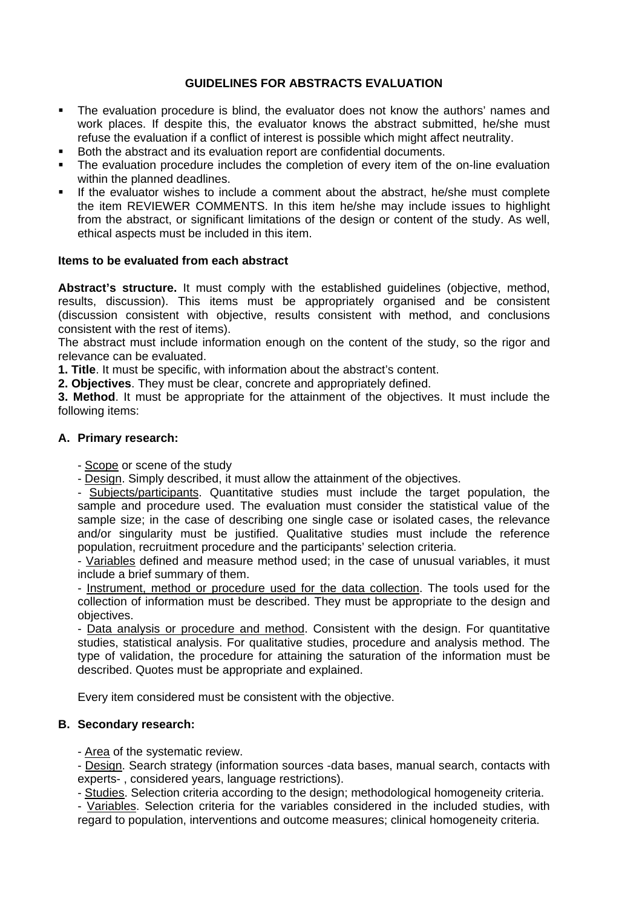## **GUIDELINES FOR ABSTRACTS EVALUATION**

- The evaluation procedure is blind, the evaluator does not know the authors' names and work places. If despite this, the evaluator knows the abstract submitted, he/she must refuse the evaluation if a conflict of interest is possible which might affect neutrality.
- Both the abstract and its evaluation report are confidential documents.
- The evaluation procedure includes the completion of every item of the on-line evaluation within the planned deadlines.
- If the evaluator wishes to include a comment about the abstract, he/she must complete the item REVIEWER COMMENTS. In this item he/she may include issues to highlight from the abstract, or significant limitations of the design or content of the study. As well, ethical aspects must be included in this item.

## **Items to be evaluated from each abstract**

**Abstract's structure.** It must comply with the established guidelines (objective, method, results, discussion). This items must be appropriately organised and be consistent (discussion consistent with objective, results consistent with method, and conclusions consistent with the rest of items).

The abstract must include information enough on the content of the study, so the rigor and relevance can be evaluated.

**1. Title**. It must be specific, with information about the abstract's content.

**2. Objectives**. They must be clear, concrete and appropriately defined.

**3. Method**. It must be appropriate for the attainment of the objectives. It must include the following items:

#### **A. Primary research:**

- Scope or scene of the study

- Design. Simply described, it must allow the attainment of the objectives.

- Subjects/participants. Quantitative studies must include the target population, the sample and procedure used. The evaluation must consider the statistical value of the sample size; in the case of describing one single case or isolated cases, the relevance and/or singularity must be justified. Qualitative studies must include the reference population, recruitment procedure and the participants' selection criteria.

- Variables defined and measure method used; in the case of unusual variables, it must include a brief summary of them.

- Instrument, method or procedure used for the data collection. The tools used for the collection of information must be described. They must be appropriate to the design and objectives.

- Data analysis or procedure and method. Consistent with the design. For quantitative studies, statistical analysis. For qualitative studies, procedure and analysis method. The type of validation, the procedure for attaining the saturation of the information must be described. Quotes must be appropriate and explained.

Every item considered must be consistent with the objective.

## **B. Secondary research:**

- Area of the systematic review.

- Design. Search strategy (information sources -data bases, manual search, contacts with experts- , considered years, language restrictions).

- Studies. Selection criteria according to the design; methodological homogeneity criteria.

- Variables. Selection criteria for the variables considered in the included studies, with regard to population, interventions and outcome measures; clinical homogeneity criteria.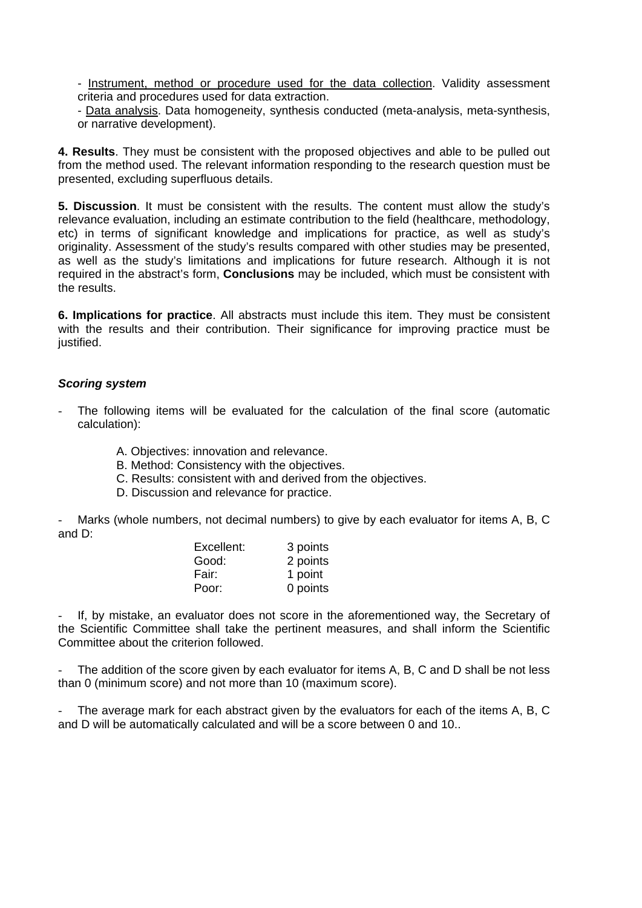- Instrument, method or procedure used for the data collection. Validity assessment criteria and procedures used for data extraction.

- Data analysis. Data homogeneity, synthesis conducted (meta-analysis, meta-synthesis, or narrative development).

**4. Results**. They must be consistent with the proposed objectives and able to be pulled out from the method used. The relevant information responding to the research question must be presented, excluding superfluous details.

**5. Discussion**. It must be consistent with the results. The content must allow the study's relevance evaluation, including an estimate contribution to the field (healthcare, methodology, etc) in terms of significant knowledge and implications for practice, as well as study's originality. Assessment of the study's results compared with other studies may be presented, as well as the study's limitations and implications for future research. Although it is not required in the abstract's form, **Conclusions** may be included, which must be consistent with the results.

**6. Implications for practice**. All abstracts must include this item. They must be consistent with the results and their contribution. Their significance for improving practice must be justified.

#### *Scoring system*

- The following items will be evaluated for the calculation of the final score (automatic calculation):
	- A. Objectives: innovation and relevance.
	- B. Method: Consistency with the objectives.
	- C. Results: consistent with and derived from the objectives.
	- D. Discussion and relevance for practice.

Marks (whole numbers, not decimal numbers) to give by each evaluator for items A, B, C and D:

| 3 points |
|----------|
| 2 points |
| 1 point  |
| 0 points |
|          |

If, by mistake, an evaluator does not score in the aforementioned way, the Secretary of the Scientific Committee shall take the pertinent measures, and shall inform the Scientific Committee about the criterion followed.

The addition of the score given by each evaluator for items A, B, C and D shall be not less than 0 (minimum score) and not more than 10 (maximum score).

The average mark for each abstract given by the evaluators for each of the items A, B, C and D will be automatically calculated and will be a score between 0 and 10..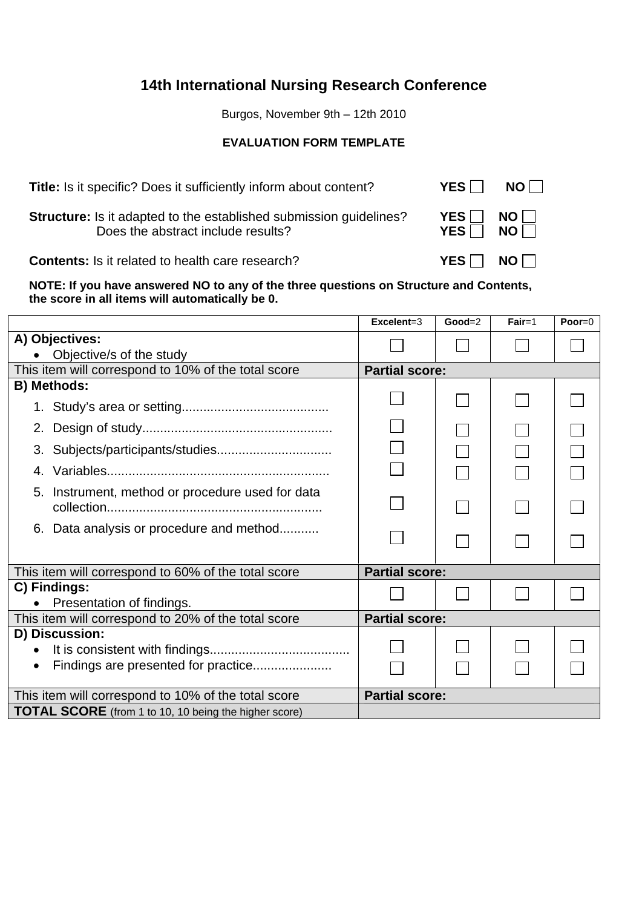# **14th International Nursing Research Conference**

Burgos, November 9th – 12th 2010

# **EVALUATION FORM TEMPLATE**

**Title:** Is it specific? Does it sufficiently inform about content? **YES**  $\Box$  **NO**  $\Box$ 

**Structure:** Is it adapted to the established submission guidelines? **YES**  $\Box$  **NO**  $\Box$ **Does the abstract include results? YES** NO

**Contents:** Is it related to health care research? **YES NO** 

**NOTE: If you have answered NO to any of the three questions on Structure and Contents, the score in all items will automatically be 0.** 

|                                                              | $\mathsf{Excelent}=3$ | $Good=2$ | $Fair=1$ | Poor= $0$ |
|--------------------------------------------------------------|-----------------------|----------|----------|-----------|
| A) Objectives:                                               |                       |          |          |           |
| Objective/s of the study                                     |                       |          |          |           |
| This item will correspond to 10% of the total score          | <b>Partial score:</b> |          |          |           |
| <b>B) Methods:</b>                                           |                       |          |          |           |
|                                                              |                       |          |          |           |
| 2.                                                           |                       |          |          |           |
| 3.                                                           |                       |          |          |           |
| 4.                                                           |                       |          |          |           |
| Instrument, method or procedure used for data<br>5.          |                       |          |          |           |
| 6. Data analysis or procedure and method                     |                       |          |          |           |
| This item will correspond to 60% of the total score          | <b>Partial score:</b> |          |          |           |
| C) Findings:                                                 |                       |          |          |           |
| Presentation of findings.                                    |                       |          |          |           |
| This item will correspond to 20% of the total score          | <b>Partial score:</b> |          |          |           |
| D) Discussion:                                               |                       |          |          |           |
| $\bullet$                                                    |                       |          |          |           |
| $\bullet$                                                    |                       |          |          |           |
| This item will correspond to 10% of the total score          | <b>Partial score:</b> |          |          |           |
| <b>TOTAL SCORE</b> (from 1 to 10, 10 being the higher score) |                       |          |          |           |